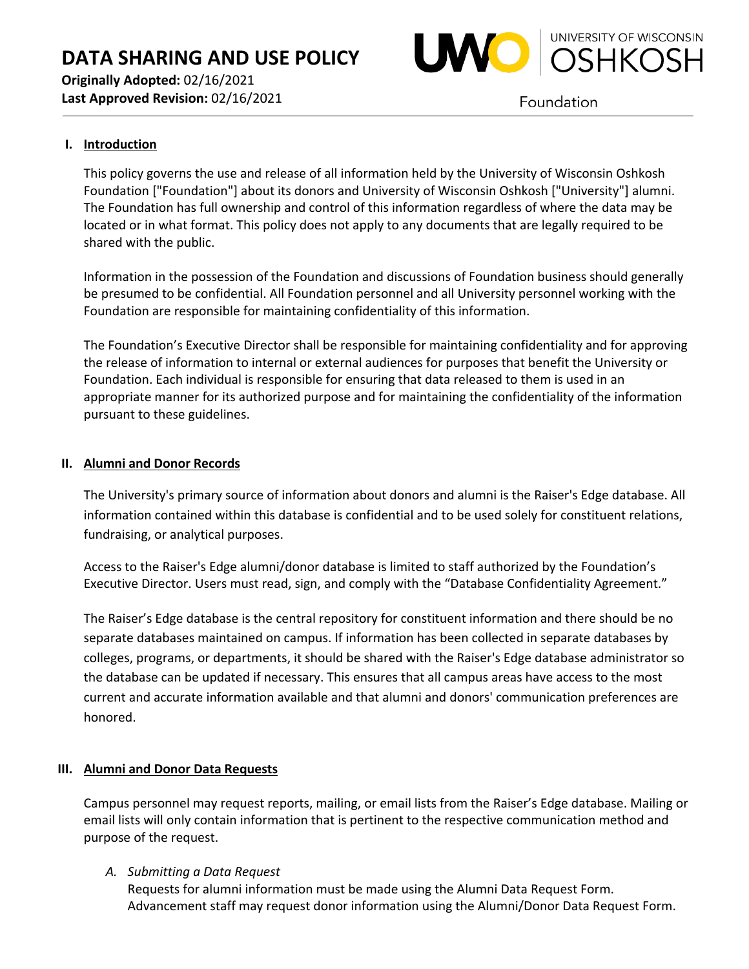

**Originally Adopted:** 02/16/2021 **Last Approved Revision:** 02/16/2021

Foundation

# **I. Introduction**

This policy governs the use and release of all information held by the University of Wisconsin Oshkosh Foundation ["Foundation"] about its donors and University of Wisconsin Oshkosh ["University"] alumni. The Foundation has full ownership and control of this information regardless of where the data may be located or in what format. This policy does not apply to any documents that are legally required to be shared with the public.

Information in the possession of the Foundation and discussions of Foundation business should generally be presumed to be confidential. All Foundation personnel and all University personnel working with the Foundation are responsible for maintaining confidentiality of this information.

The Foundation's Executive Director shall be responsible for maintaining confidentiality and for approving the release of information to internal or external audiences for purposes that benefit the University or Foundation. Each individual is responsible for ensuring that data released to them is used in an appropriate manner for its authorized purpose and for maintaining the confidentiality of the information pursuant to these guidelines.

# **II. Alumni and Donor Records**

The University's primary source of information about donors and alumni is the Raiser's Edge database. All information contained within this database is confidential and to be used solely for constituent relations, fundraising, or analytical purposes.

Access to the Raiser's Edge alumni/donor database is limited to staff authorized by the Foundation's Executive Director. Users must read, sign, and comply with the "Database Confidentiality Agreement."

The Raiser's Edge database is the central repository for constituent information and there should be no separate databases maintained on campus. If information has been collected in separate databases by colleges, programs, or departments, it should be shared with the Raiser's Edge database administrator so the database can be updated if necessary. This ensures that all campus areas have access to the most current and accurate information available and that alumni and donors' communication preferences are honored.

# **III. Alumni and Donor Data Requests**

Campus personnel may request reports, mailing, or email lists from the Raiser's Edge database. Mailing or email lists will only contain information that is pertinent to the respective communication method and purpose of the request.

# *A. Submitting a Data Request*

Requests for alumni information must be made using the Alumni Data Request Form. Advancement staff may request donor information using the Alumni/Donor Data Request Form.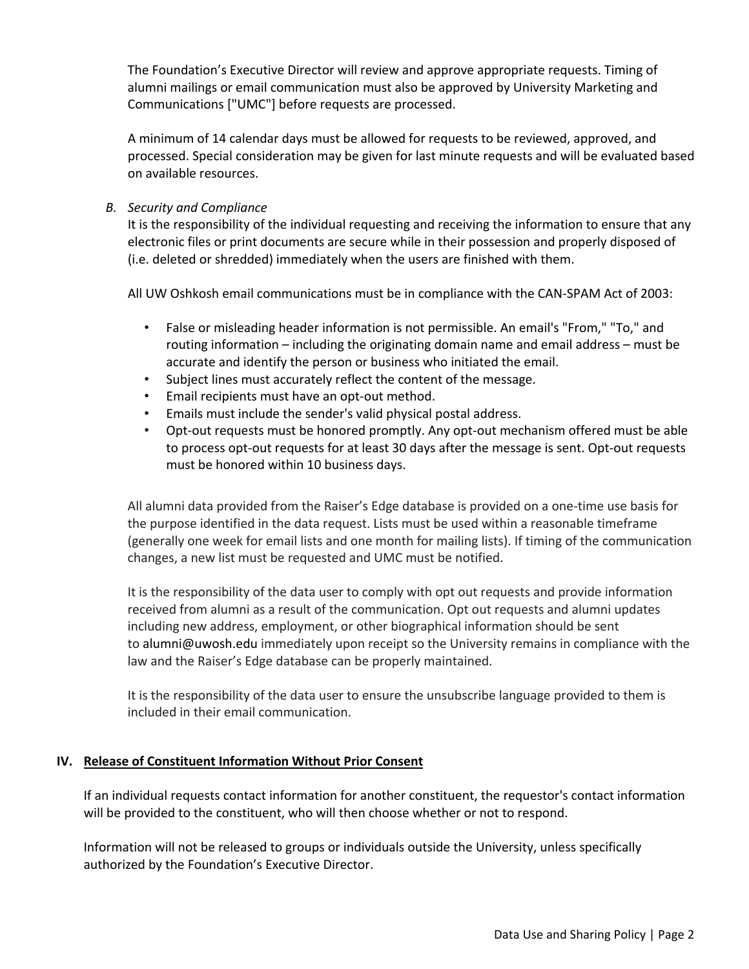The Foundation's Executive Director will review and approve appropriate requests. Timing of alumni mailings or email communication must also be approved by University Marketing and Communications ["UMC"] before requests are processed.

A minimum of 14 calendar days must be allowed for requests to be reviewed, approved, and processed. Special consideration may be given for last minute requests and will be evaluated based on available resources.

*B. Security and Compliance*

It is the responsibility of the individual requesting and receiving the information to ensure that any electronic files or print documents are secure while in their possession and properly disposed of (i.e. deleted or shredded) immediately when the users are finished with them.

All UW Oshkosh email communications must be in compliance with the CAN-SPAM Act of 2003:

- False or misleading header information is not permissible. An email's "From," "To," and routing information – including the originating domain name and email address – must be accurate and identify the person or business who initiated the email.
- Subject lines must accurately reflect the content of the message.
- Email recipients must have an opt-out method.
- Emails must include the sender's valid physical postal address.
- Opt-out requests must be honored promptly. Any opt-out mechanism offered must be able to process opt-out requests for at least 30 days after the message is sent. Opt-out requests must be honored within 10 business days.

All alumni data provided from the Raiser's Edge database is provided on a one-time use basis for the purpose identified in the data request. Lists must be used within a reasonable timeframe (generally one week for email lists and one month for mailing lists). If timing of the communication changes, a new list must be requested and UMC must be notified.

It is the responsibility of the data user to comply with opt out requests and provide information received from alumni as a result of the communication. Opt out requests and alumni updates including new address, employment, or other biographical information should be sent to alumni@uwosh.edu immediately upon receipt so the University remains in compliance with the law and the Raiser's Edge database can be properly maintained.

It is the responsibility of the data user to ensure the unsubscribe language provided to them is included in their email communication.

#### **IV. Release of Constituent Information Without Prior Consent**

If an individual requests contact information for another constituent, the requestor's contact information will be provided to the constituent, who will then choose whether or not to respond.

Information will not be released to groups or individuals outside the University, unless specifically authorized by the Foundation's Executive Director.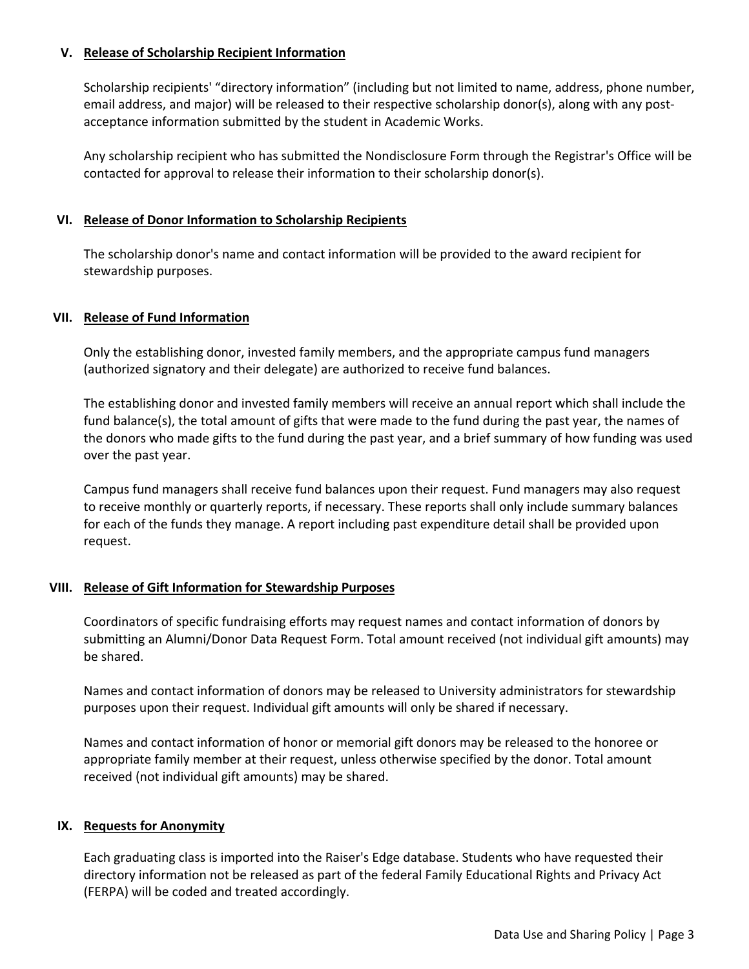## **V. Release of Scholarship Recipient Information**

Scholarship recipients' "directory information" (including but not limited to name, address, phone number, email address, and major) will be released to their respective scholarship donor(s), along with any postacceptance information submitted by the student in Academic Works.

Any scholarship recipient who has submitted the Nondisclosure Form through the Registrar's Office will be contacted for approval to release their information to their scholarship donor(s).

### **VI. Release of Donor Information to Scholarship Recipients**

The scholarship donor's name and contact information will be provided to the award recipient for stewardship purposes.

### **VII. Release of Fund Information**

Only the establishing donor, invested family members, and the appropriate campus fund managers (authorized signatory and their delegate) are authorized to receive fund balances.

The establishing donor and invested family members will receive an annual report which shall include the fund balance(s), the total amount of gifts that were made to the fund during the past year, the names of the donors who made gifts to the fund during the past year, and a brief summary of how funding was used over the past year.

Campus fund managers shall receive fund balances upon their request. Fund managers may also request to receive monthly or quarterly reports, if necessary. These reports shall only include summary balances for each of the funds they manage. A report including past expenditure detail shall be provided upon request.

#### **VIII. Release of Gift Information for Stewardship Purposes**

Coordinators of specific fundraising efforts may request names and contact information of donors by submitting an Alumni/Donor Data Request Form. Total amount received (not individual gift amounts) may be shared.

Names and contact information of donors may be released to University administrators for stewardship purposes upon their request. Individual gift amounts will only be shared if necessary.

Names and contact information of honor or memorial gift donors may be released to the honoree or appropriate family member at their request, unless otherwise specified by the donor. Total amount received (not individual gift amounts) may be shared.

#### **IX. Requests for Anonymity**

Each graduating class is imported into the Raiser's Edge database. Students who have requested their directory information not be released as part of the federal Family Educational Rights and Privacy Act (FERPA) will be coded and treated accordingly.